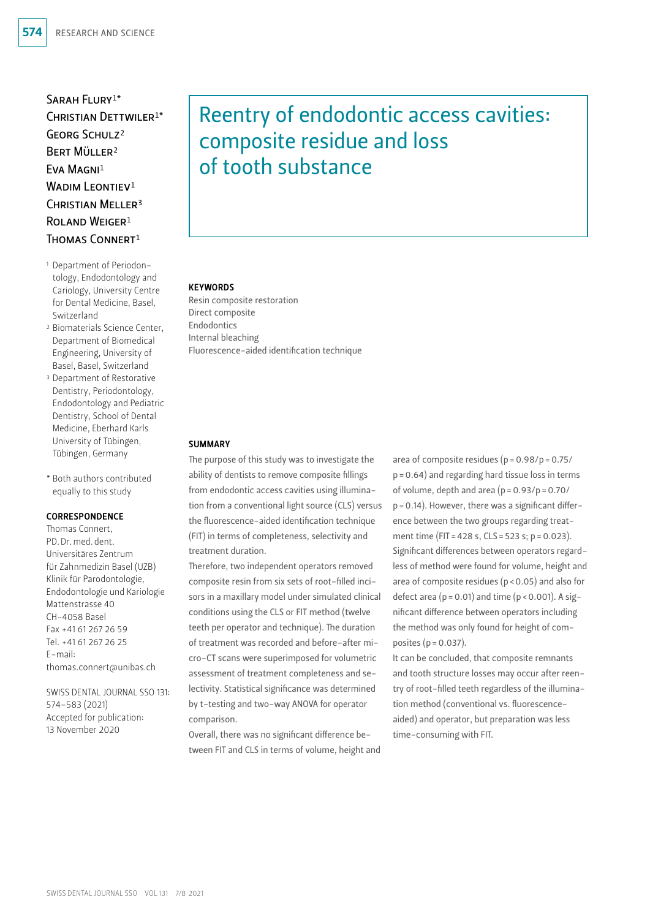Sarah Flury1\* CHRISTIAN DETTWILER<sup>1\*</sup> Georg Schulz2 Bert Müller2 Eva Magni1 WADIM LEONTIEV<sup>1</sup> CHRISTIAN MELLER<sup>3</sup> ROLAND WEIGER<sup>1</sup> Thomas Connert1

- 1 Department of Periodontology, Endodontology and Cariology, University Centre for Dental Medicine, Basel, Switzerland
- 2 Biomaterials Science Center, Department of Biomedical Engineering, University of Basel, Basel, Switzerland
- 3 Department of Restorative Dentistry, Periodontology, Endodontology and Pediatric Dentistry, School of Dental Medicine, Eberhard Karls University of Tübingen, Tübingen, Germany
- \* Both authors contributed equally to this study

#### CORRESPONDENCE

Thomas Connert, PD.Dr.med.dent. Universitäres Zentrum für Zahnmedizin Basel (UZB) Klinik für Parodontologie, Endodontologie und Kariologie Mattenstrasse 40 CH-4058 Basel Fax +41 61 267 26 59 Tel. +41 61 267 26 25 E-mail: thomas.connert@unibas.ch

SWISS DENTAL JOURNAL SSO 131: 574–583 (2021) Accepted for publication: 13 November 2020

# Reentry of endodontic access cavities: composite residue and loss of tooth substance

#### **KEYWORDS**

Resin composite restoration Direct composite Endodontics Internal bleaching Fluorescence-aided identification technique

#### **SUMMARY**

The purpose of this study was to investigate the ability of dentists to remove composite fillings from endodontic access cavities using illumination from a conventional light source (CLS) versus the fluorescence-aided identification technique (FIT) in terms of completeness, selectivity and treatment duration.

Therefore, two independent operators removed composite resin from six sets of root-filled incisors in a maxillary model under simulated clinical conditions using the CLS or FIT method (twelve teeth per operator and technique). The duration of treatment was recorded and before-after micro-CT scans were superimposed for volumetric assessment of treatment completeness and selectivity. Statistical significance was determined by t-testing and two-way ANOVA for operator comparison.

Overall, there was no significant difference between FIT and CLS in terms of volume, height and

area of composite residues ( $p = 0.98/p = 0.75/$ p=0.64) and regarding hard tissue loss in terms of volume, depth and area  $(p=0.93/p=0.70/$  $p = 0.14$ ). However, there was a significant difference between the two groups regarding treatment time (FIT = 428 s, CLS = 523 s; p = 0.023). Significant differences between operators regardless of method were found for volume, height and area of composite residues (p<0.05) and also for defect area ( $p = 0.01$ ) and time ( $p < 0.001$ ). A significant difference between operators including the method was only found for height of composites  $(p = 0.037)$ .

It can be concluded, that composite remnants and tooth structure losses may occur after reentry of root-filled teeth regardless of the illumination method (conventional vs. fluorescenceaided) and operator, but preparation was less time-consuming with FIT.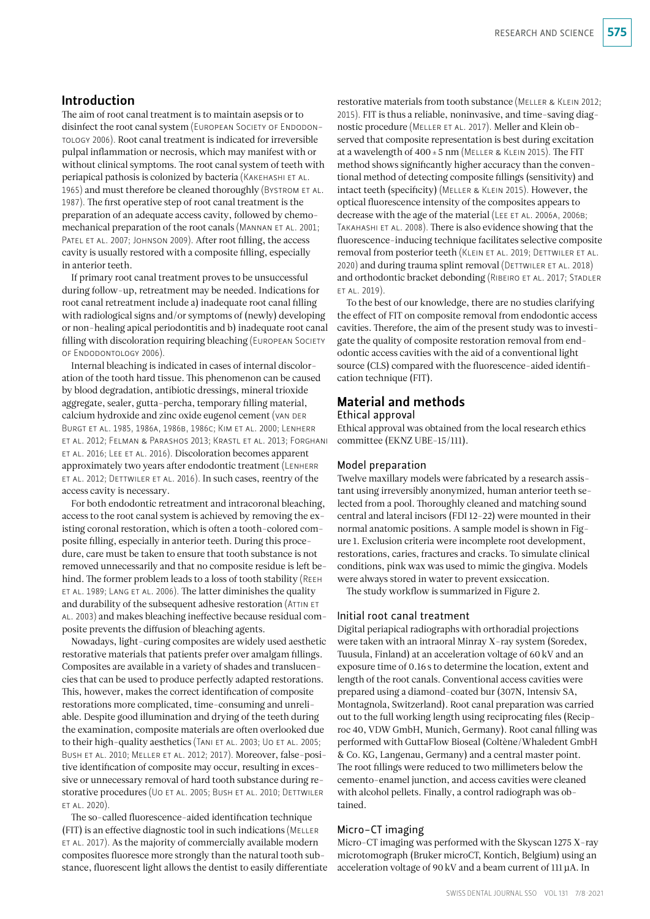## Introduction

The aim of root canal treatment is to maintain asepsis or to disinfect the root canal system (EUROPEAN SOCIETY OF ENDODONtology 2006). Root canal treatment is indicated for irreversible pulpal inflammation or necrosis, which may manifest with or without clinical symptoms. The root canal system of teeth with periapical pathosis is colonized by bacteria (KAKEHASHI ET AL. 1965) and must therefore be cleaned thoroughly (Bystrom ET AL. 1987). The first operative step of root canal treatment is the preparation of an adequate access cavity, followed by chemomechanical preparation of the root canals (MANNAN ET AL. 2001; PATEL ET AL. 2007; JOHNSON 2009). After root filling, the access cavity is usually restored with a composite filling, especially in anterior teeth.

If primary root canal treatment proves to be unsuccessful during follow-up, retreatment may be needed. Indications for root canal retreatment include a) inadequate root canal filling with radiological signs and/or symptoms of (newly) developing or non-healing apical periodontitis and b) inadequate root canal filling with discoloration requiring bleaching (EUROPEAN SOCIETY of Endodontology 2006).

Internal bleaching is indicated in cases of internal discoloration of the tooth hard tissue. This phenomenon can be caused by blood degradation, antibiotic dressings, mineral trioxide aggregate, sealer, gutta-percha, temporary filling material, calcium hydroxide and zinc oxide eugenol cement (van der Burgt et al. 1985, 1986a, 1986b, 1986c; Kim et al. 2000; Lenherr et al. 2012; Felman & Parashos 2013; Krastl et al. 2013; Forghani et al. 2016; Lee et al. 2016). Discoloration becomes apparent approximately two years after endodontic treatment (Lenherr et al. 2012; Dettwiler et al. 2016). In such cases, reentry of the access cavity is necessary.

For both endodontic retreatment and intracoronal bleaching, access to the root canal system is achieved by removing the existing coronal restoration, which is often a tooth-colored composite filling, especially in anterior teeth. During this procedure, care must be taken to ensure that tooth substance is not removed unnecessarily and that no composite residue is left behind. The former problem leads to a loss of tooth stability (Reeh et al. 1989; Lang et al. 2006). The latter diminishes the quality and durability of the subsequent adhesive restoration (ATTIN ET al. 2003) and makes bleaching ineffective because residual composite prevents the diffusion of bleaching agents.

Nowadays, light-curing composites are widely used aesthetic restorative materials that patients prefer over amalgam fillings. Composites are available in a variety of shades and translucencies that can be used to produce perfectly adapted restorations. This, however, makes the correct identification of composite restorations more complicated, time-consuming and unreliable. Despite good illumination and drying of the teeth during the examination, composite materials are often overlooked due to their high-quality aesthetics (TANI ET AL. 2003; UO ET AL. 2005; BUSH ET AL. 2010; MELLER ET AL. 2012; 2017). Moreover, false-positive identification of composite may occur, resulting in excessive or unnecessary removal of hard tooth substance during restorative procedures (Uo ET AL. 2005; BUSH ET AL. 2010; DETTWILER ET AL. 2020)

The so-called fluorescence-aided identification technique (FIT) is an effective diagnostic tool in such indications (Meller et al. 2017). As the majority of commercially available modern composites fluoresce more strongly than the natural tooth substance, fluorescent light allows the dentist to easily differentiate

restorative materials from tooth substance (Meller & Klein 2012; 2015). FIT is thus a reliable, noninvasive, and time-saving diagnostic procedure (Meller et al. 2017). Meller and Klein observed that composite representation is best during excitation at a wavelength of  $400 \pm 5$  nm (MELLER & KLEIN 2015). The FIT method shows significantly higher accuracy than the conventional method of detecting composite fillings (sensitivity) and intact teeth (specificity) (Meller & Klein 2015). However, the optical fluorescence intensity of the composites appears to decrease with the age of the material (LEE ET AL. 2006A, 2006B; TAKAHASHI ET AL. 2008). There is also evidence showing that the fluorescence-inducing technique facilitates selective composite removal from posterior teeth (KLEIN ET AL. 2019; DETTWILER ET AL. 2020) and during trauma splint removal (DETTWILER ET AL. 2018) and orthodontic bracket debonding (RIBEIRO ET AL. 2017; STADLER et al. 2019).

To the best of our knowledge, there are no studies clarifying the effect of FIT on composite removal from endodontic access cavities. Therefore, the aim of the present study was to investigate the quality of composite restoration removal from endodontic access cavities with the aid of a conventional light source (CLS) compared with the fluorescence-aided identification technique (FIT).

## Material and methods

Ethical approval

Ethical approval was obtained from the local research ethics committee (EKNZ UBE-15/111).

#### Model preparation

Twelve maxillary models were fabricated by a research assistant using irreversibly anonymized, human anterior teeth selected from a pool. Thoroughly cleaned and matching sound central and lateral incisors (FDI 12-22) were mounted in their normal anatomic positions. A sample model is shown in Figure 1. Exclusion criteria were incomplete root development, restorations, caries, fractures and cracks. To simulate clinical conditions, pink wax was used to mimic the gingiva. Models were always stored in water to prevent exsiccation.

The study workflow is summarized in Figure 2.

#### Initial root canal treatment

Digital periapical radiographs with orthoradial projections were taken with an intraoral Minray X-ray system (Soredex, Tuusula, Finland) at an acceleration voltage of 60kV and an exposure time of 0.16 s to determine the location, extent and length of the root canals. Conventional access cavities were prepared using a diamond-coated bur (307N, Intensiv SA, Montagnola, Switzerland). Root canal preparation was carried out to the full working length using reciprocating files (Reciproc 40, VDW GmbH, Munich, Germany). Root canal filling was performed with GuttaFlow Bioseal (Coltène/Whaledent GmbH & Co. KG, Langenau, Germany) and a central master point. The root fillings were reduced to two millimeters below the cemento-enamel junction, and access cavities were cleaned with alcohol pellets. Finally, a control radiograph was obtained.

## Micro-CT imaging

Micro-CT imaging was performed with the Skyscan 1275 X-ray microtomograph (Bruker microCT, Kontich, Belgium) using an acceleration voltage of 90kV and a beam current of 111μA. In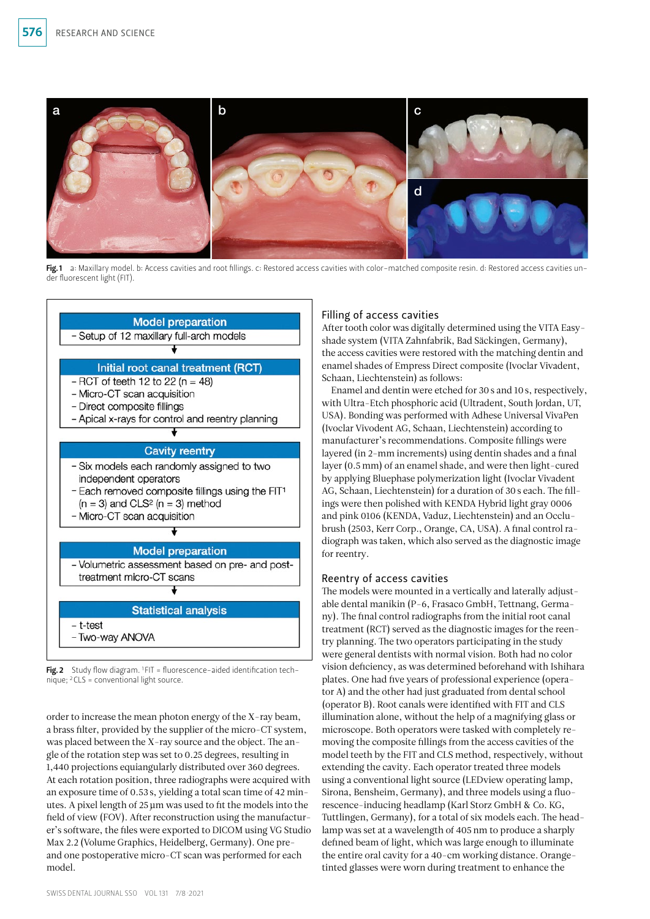

Fig.1 a: Maxillary model. b: Access cavities and root fillings. c: Restored access cavities with color-matched composite resin. d: Restored access cavities under fluorescent light (FIT).



Fig. 2 Study flow diagram.  $1$  FIT = fluorescence-aided identification technique; 2CLS = conventional light source.

order to increase the mean photon energy of the X-ray beam, a brass filter, provided by the supplier of the micro-CT system, was placed between the X-ray source and the object. The angle of the rotation step was set to 0.25 degrees, resulting in 1,440 projections equiangularly distributed over 360 degrees. At each rotation position, three radiographs were acquired with an exposure time of 0.53 s, yielding a total scan time of 42 minutes. A pixel length of 25µm was used to fit the models into the field of view (FOV). After reconstruction using the manufacturer's software, the files were exported to DICOM using VG Studio Max 2.2 (Volume Graphics, Heidelberg, Germany). One preand one postoperative micro-CT scan was performed for each model.

## Filling of access cavities

After tooth color was digitally determined using the VITA Easyshade system (VITA Zahnfabrik, Bad Säckingen, Germany), the access cavities were restored with the matching dentin and enamel shades of Empress Direct composite (Ivoclar Vivadent, Schaan, Liechtenstein) as follows:

Enamel and dentin were etched for 30s and 10s, respectively, with Ultra-Etch phosphoric acid (Ultradent, South Jordan, UT, USA). Bonding was performed with Adhese Universal VivaPen (Ivoclar Vivodent AG, Schaan, Liechtenstein) according to manufacturer's recommendations. Composite fillings were layered (in 2-mm increments) using dentin shades and a final layer (0.5mm) of an enamel shade, and were then light-cured by applying Bluephase polymerization light (Ivoclar Vivadent AG, Schaan, Liechtenstein) for a duration of 30s each. The fillings were then polished with KENDA Hybrid light gray 0006 and pink 0106 (KENDA, Vaduz, Liechtenstein) and an Occlubrush (2503, Kerr Corp., Orange, CA, USA). A final control radiograph was taken, which also served as the diagnostic image for reentry.

## Reentry of access cavities

The models were mounted in a vertically and laterally adjustable dental manikin (P-6, Frasaco GmbH, Tettnang, Germany). The final control radiographs from the initial root canal treatment (RCT) served as the diagnostic images for the reentry planning. The two operators participating in the study were general dentists with normal vision. Both had no color vision deficiency, as was determined beforehand with Ishihara plates. One had five years of professional experience (operator A) and the other had just graduated from dental school (operator B). Root canals were identified with FIT and CLS illumination alone, without the help of a magnifying glass or microscope. Both operators were tasked with completely removing the composite fillings from the access cavities of the model teeth by the FIT and CLS method, respectively, without extending the cavity. Each operator treated three models using a conventional light source (LEDview operating lamp, Sirona, Bensheim, Germany), and three models using a fluorescence-inducing headlamp (Karl Storz GmbH & Co. KG, Tuttlingen, Germany), for a total of six models each. The headlamp was set at a wavelength of 405 nm to produce a sharply defined beam of light, which was large enough to illuminate the entire oral cavity for a 40-cm working distance. Orange-tinted glasses were worn during treatment to enhance the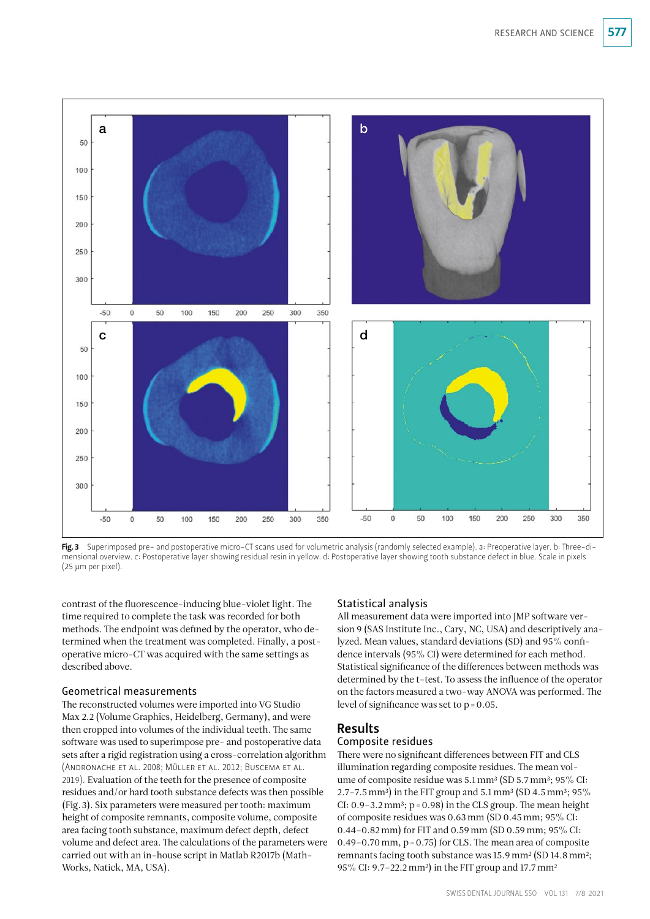

Fig. 3 Superimposed pre- and postoperative micro-CT scans used for volumetric analysis (randomly selected example). a: Preoperative layer. b: Three-dimensional overview. c: Postoperative layer showing residual resin in yellow. d: Postoperative layer showing tooth substance defect in blue. Scale in pixels (25 µm per pixel).

contrast of the fluorescence-inducing blue-violet light. The time required to complete the task was recorded for both methods. The endpoint was defined by the operator, who determined when the treatment was completed. Finally, a postoperative micro-CT was acquired with the same settings as described above.

#### Geometrical measurements

The reconstructed volumes were imported into VG Studio Max 2.2 (Volume Graphics, Heidelberg, Germany), and were then cropped into volumes of the individual teeth. The same software was used to superimpose pre- and postoperative data sets after a rigid registration using a cross-correlation algorithm (Andronache et al. 2008; Müller et al. 2012; Buscema et al. 2019). Evaluation of the teeth for the presence of composite residues and/or hard tooth substance defects was then possible (Fig.3). Six parameters were measured per tooth: maximum height of composite remnants, composite volume, composite area facing tooth substance, maximum defect depth, defect volume and defect area. The calculations of the parameters were carried out with an in-house script in Matlab R2017b (Math-Works, Natick, MA, USA).

## Statistical analysis

All measurement data were imported into JMP software version 9 (SAS Institute Inc., Cary, NC, USA) and descriptively analyzed. Mean values, standard deviations (SD) and 95% confidence intervals (95% CI) were determined for each method. Statistical significance of the differences between methods was determined by the t-test. To assess the influence of the operator on the factors measured a two-way ANOVA was performed. The level of significance was set to  $p = 0.05$ .

## Results

#### Composite residues

There were no significant differences between FIT and CLS illumination regarding composite residues. The mean volume of composite residue was 5.1 mm<sup>3</sup> (SD 5.7 mm<sup>3</sup>; 95% CI: 2.7–7.5 mm<sup>3</sup>) in the FIT group and 5.1 mm<sup>3</sup> (SD 4.5 mm<sup>3</sup>; 95% CI:  $0.9 - 3.2$  mm<sup>3</sup>;  $p = 0.98$ ) in the CLS group. The mean height of composite residues was 0.63mm (SD 0.45mm; 95% CI: 0.44-0.82 mm) for FIT and 0.59 mm (SD 0.59 mm; 95% CI: 0.49–0.70 mm,  $p = 0.75$  for CLS. The mean area of composite remnants facing tooth substance was 15.9 mm<sup>2</sup> (SD 14.8 mm<sup>2</sup>; 95% CI: 9.7–22.2mm2) in the FIT group and 17.7mm2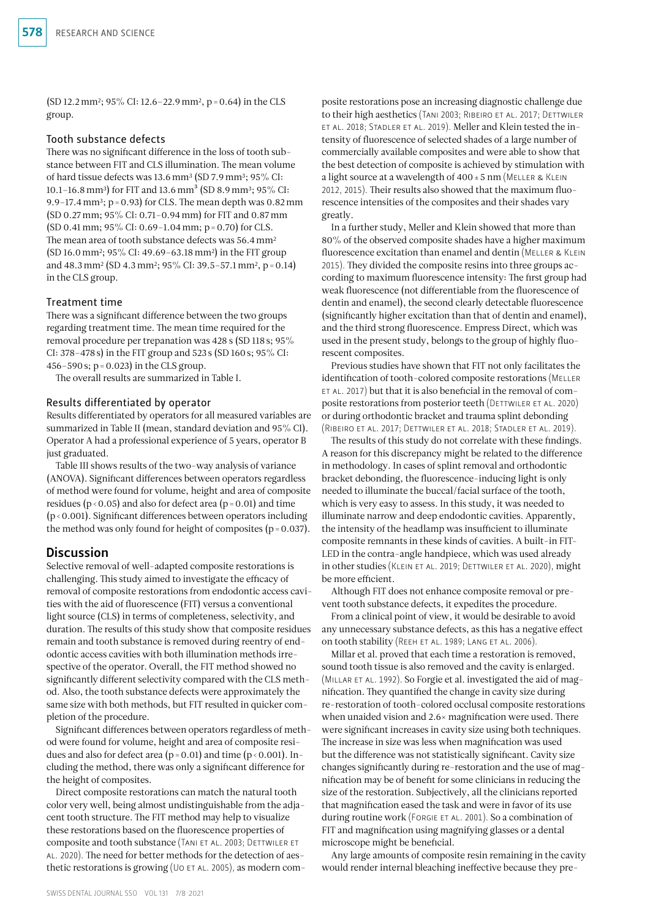(SD 12.2mm2; 95% CI: 12.6–22.9mm2, p=0.64) in the CLS group.

#### Tooth substance defects

There was no significant difference in the loss of tooth substance between FIT and CLS illumination. The mean volume of hard tissue defects was 13.6mm3 (SD 7.9mm3; 95% CI: 10.1–16.8 mm<sup>3</sup>) for FIT and 13.6 mm<sup>3</sup> (SD 8.9 mm<sup>3</sup>; 95% CI: 9.9–17.4 mm<sup>3</sup>;  $p = 0.93$  for CLS. The mean depth was  $0.82$  mm (SD 0.27mm; 95% CI: 0.71–0.94mm) for FIT and 0.87mm (SD 0.41 mm;  $95\%$  CI: 0.69-1.04 mm; p = 0.70) for CLS. The mean area of tooth substance defects was 56.4 mm<sup>2</sup> (SD 16.0mm2; 95% CI: 49.69–63.18mm2) in the FIT group and 48.3mm2 (SD 4.3mm2; 95% CI: 39.5–57.1mm2, p=0.14) in the CLS group.

#### Treatment time

There was a significant difference between the two groups regarding treatment time. The mean time required for the removal procedure per trepanation was 428 s (SD 118 s; 95% CI: 378–478 s) in the FIT group and 523 s (SD 160s; 95% CI: 456–590s; p=0.023) in the CLS group.

The overall results are summarized in Table I.

#### Results differentiated by operator

Results differentiated by operators for all measured variables are summarized in Table II (mean, standard deviation and 95% CI). Operator A had a professional experience of 5 years, operator B just graduated.

Table III shows results of the two-way analysis of variance (ANOVA). Significant differences between operators regardless of method were found for volume, height and area of composite residues ( $p < 0.05$ ) and also for defect area ( $p = 0.01$ ) and time (p<0.001). Significant differences between operators including the method was only found for height of composites  $(p = 0.037)$ .

#### **Discussion**

Selective removal of well-adapted composite restorations is challenging. This study aimed to investigate the efficacy of removal of composite restorations from endodontic access cavities with the aid of fluorescence (FIT) versus a conventional light source (CLS) in terms of completeness, selectivity, and duration. The results of this study show that composite residues remain and tooth substance is removed during reentry of endodontic access cavities with both illumination methods irrespective of the operator. Overall, the FIT method showed no significantly different selectivity compared with the CLS method. Also, the tooth substance defects were approximately the same size with both methods, but FIT resulted in quicker completion of the procedure.

Significant differences between operators regardless of method were found for volume, height and area of composite residues and also for defect area ( $p = 0.01$ ) and time ( $p < 0.001$ ). Including the method, there was only a significant difference for the height of composites.

Direct composite restorations can match the natural tooth color very well, being almost undistinguishable from the adjacent tooth structure. The FIT method may help to visualize these restorations based on the fluorescence properties of composite and tooth substance (TANI ET AL. 2003; DETTWILER ET al. 2020). The need for better methods for the detection of aesthetic restorations is growing ( $U$ <sup>o et al. 2005)</sup>, as modern com-

posite restorations pose an increasing diagnostic challenge due to their high aesthetics (TANI 2003; RIBEIRO ET AL. 2017; DETTWILER et al. 2018; Stadler et al. 2019). Meller and Klein tested the intensity of fluorescence of selected shades of a large number of commercially available composites and were able to show that the best detection of composite is achieved by stimulation with a light source at a wavelength of  $400 \pm 5$  nm (MELLER & KLEIN 2012, 2015). Their results also showed that the maximum fluorescence intensities of the composites and their shades vary greatly.

In a further study, Meller and Klein showed that more than 80% of the observed composite shades have a higher maximum fluorescence excitation than enamel and dentin (MELLER & KLEIN 2015). They divided the composite resins into three groups according to maximum fluorescence intensity: The first group had weak fluorescence (not differentiable from the fluorescence of dentin and enamel), the second clearly detectable fluorescence (significantly higher excitation than that of dentin and enamel), and the third strong fluorescence. Empress Direct, which was used in the present study, belongs to the group of highly fluorescent composites.

Previous studies have shown that FIT not only facilitates the identification of tooth-colored composite restorations (MELLER et al. 2017) but that it is also beneficial in the removal of composite restorations from posterior teeth (DETTWILER ET AL. 2020) or during orthodontic bracket and trauma splint debonding (Ribeiro et al. 2017; Dettwiler et al. 2018; Stadler et al. 2019).

The results of this study do not correlate with these findings. A reason for this discrepancy might be related to the difference in methodology. In cases of splint removal and orthodontic bracket debonding, the fluorescence-inducing light is only needed to illuminate the buccal/facial surface of the tooth, which is very easy to assess. In this study, it was needed to illuminate narrow and deep endodontic cavities. Apparently, the intensity of the headlamp was insufficient to illuminate composite remnants in these kinds of cavities. A built-in FIT-LED in the contra-angle handpiece, which was used already in other studies (Klein et al. 2019; Dettwiler et al. 2020), might be more efficient.

Although FIT does not enhance composite removal or prevent tooth substance defects, it expedites the procedure.

From a clinical point of view, it would be desirable to avoid any unnecessary substance defects, as this has a negative effect on tooth stability (REEH ET AL. 1989; LANG ET AL. 2006).

Millar et al. proved that each time a restoration is removed, sound tooth tissue is also removed and the cavity is enlarged. (MILLAR ET AL. 1992). So Forgie et al. investigated the aid of magnification. They quantified the change in cavity size during re-restoration of tooth-colored occlusal composite restorations when unaided vision and 2.6× magnification were used. There were significant increases in cavity size using both techniques. The increase in size was less when magnification was used but the difference was not statistically significant. Cavity size changes significantly during re-restoration and the use of magnification may be of benefit for some clinicians in reducing the size of the restoration. Subjectively, all the clinicians reported that magnification eased the task and were in favor of its use during routine work (Forgie et al. 2001). So a combination of FIT and magnification using magnifying glasses or a dental microscope might be beneficial.

Any large amounts of composite resin remaining in the cavity would render internal bleaching ineffective because they pre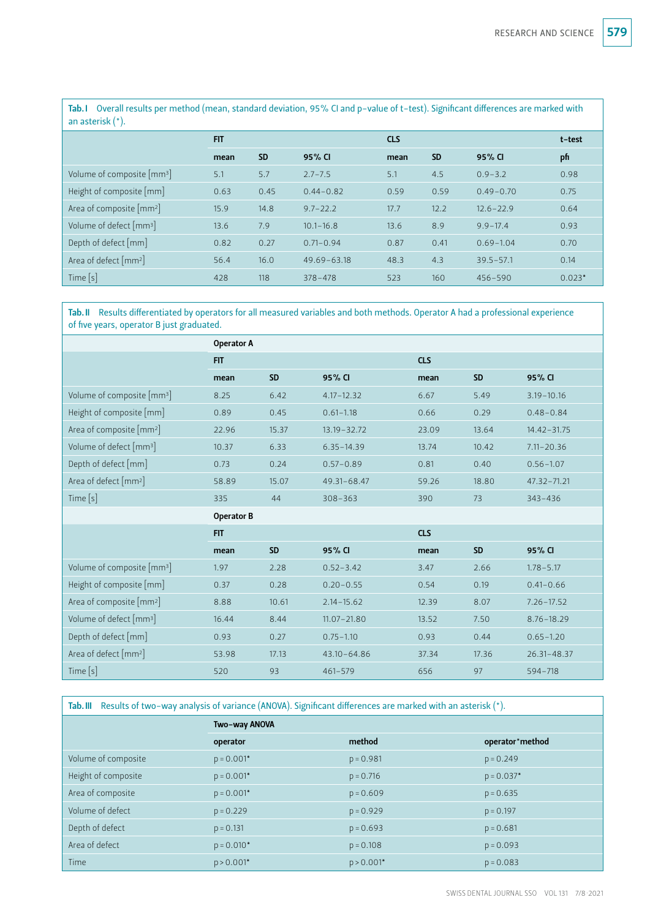Tab.I Overall results per method (mean, standard deviation, 95% CI and p-value of t-test). Significant differences are marked with an asterisk (\*).

|                                          | <b>FIT</b> |           |                 | <b>CLS</b> |           |               | t-test   |
|------------------------------------------|------------|-----------|-----------------|------------|-----------|---------------|----------|
|                                          | mean       | <b>SD</b> | 95% CI          | mean       | <b>SD</b> | 95% CI        | pfi      |
| Volume of composite $\lceil mm^3 \rceil$ | 5.1        | 5.7       | $2.7 - 7.5$     | 5.1        | 4.5       | $0.9 - 3.2$   | 0.98     |
| Height of composite [mm]                 | 0.63       | 0.45      | $0.44 - 0.82$   | 0.59       | 0.59      | $0.49 - 0.70$ | 0.75     |
| Area of composite [mm <sup>2</sup> ]     | 15.9       | 14.8      | $9.7 - 22.2$    | 17.7       | 12.2      | $12.6 - 22.9$ | 0.64     |
| Volume of defect $\lceil mm^3 \rceil$    | 13.6       | 7.9       | $10.1 - 16.8$   | 13.6       | 8.9       | $9.9 - 17.4$  | 0.93     |
| Depth of defect $\lceil mm \rceil$       | 0.82       | 0.27      | $0.71 - 0.94$   | 0.87       | 0.41      | $0.69 - 1.04$ | 0.70     |
| Area of defect [mm <sup>2</sup> ]        | 56.4       | 16.0      | $49.69 - 63.18$ | 48.3       | 4.3       | $39.5 - 57.1$ | 0.14     |
| Time $[s]$                               | 428        | 118       | $378 - 478$     | 523        | 160       | $456 - 590$   | $0.023*$ |

Tab.II Results differentiated by operators for all measured variables and both methods. Operator A had a professional experience of five years, operator B just graduated.

|                                        | Operator A |           |                 |            |           |                 |  |
|----------------------------------------|------------|-----------|-----------------|------------|-----------|-----------------|--|
|                                        | <b>FIT</b> |           |                 | <b>CLS</b> |           |                 |  |
|                                        | mean       | <b>SD</b> | 95% CI          | mean       | <b>SD</b> | 95% CI          |  |
| Volume of composite [mm <sup>3</sup> ] | 8.25       | 6.42      | $4.17 - 12.32$  | 6.67       | 5.49      | $3.19 - 10.16$  |  |
| Height of composite [mm]               | 0.89       | 0.45      | $0.61 - 1.18$   | 0.66       | 0.29      | $0.48 - 0.84$   |  |
| Area of composite [mm <sup>2</sup> ]   | 22.96      | 15.37     | $13.19 - 32.72$ | 23.09      | 13.64     | $14.42 - 31.75$ |  |
| Volume of defect [mm <sup>3</sup> ]    | 10.37      | 6.33      | $6.35 - 14.39$  | 13.74      | 10.42     | $7.11 - 20.36$  |  |
| Depth of defect [mm]                   | 0.73       | 0.24      | $0.57 - 0.89$   | 0.81       | 0.40      | $0.56 - 1.07$   |  |
| Area of defect [mm <sup>2</sup> ]      | 58.89      | 15.07     | 49.31-68.47     | 59.26      | 18.80     | 47.32-71.21     |  |
| Time $[s]$                             | 335        | 44        | $308 - 363$     | 390        | 73        | $343 - 436$     |  |
|                                        | Operator B |           |                 |            |           |                 |  |
|                                        | <b>FIT</b> |           |                 | <b>CLS</b> |           |                 |  |
|                                        | mean       | <b>SD</b> | 95% CI          | mean       | <b>SD</b> | 95% CI          |  |
| Volume of composite [mm <sup>3</sup> ] | 1.97       | 2.28      | $0.52 - 3.42$   | 3.47       | 2.66      | $1.78 - 5.17$   |  |
| Height of composite [mm]               | 0.37       | 0.28      | $0.20 - 0.55$   | 0.54       | 0.19      | $0.41 - 0.66$   |  |
| Area of composite [mm <sup>2</sup> ]   | 8.88       | 10.61     | $2.14 - 15.62$  | 12.39      | 8.07      | $7.26 - 17.52$  |  |
| Volume of defect [mm <sup>3</sup> ]    | 16.44      | 8.44      | $11.07 - 21.80$ | 13.52      | 7.50      | $8.76 - 18.29$  |  |
| Depth of defect [mm]                   | 0.93       | 0.27      | $0.75 - 1.10$   | 0.93       | 0.44      | $0.65 - 1.20$   |  |
| Area of defect [mm <sup>2</sup> ]      | 53.98      | 17.13     | $43.10 - 64.86$ | 37.34      | 17.36     | $26.31 - 48.37$ |  |
| Time [s]                               | 520        | 93        | $461 - 579$     | 656        | 97        | $594 - 718$     |  |

Tab.III Results of two-way analysis of variance (ANOVA). Significant differences are marked with an asterisk (\*).

|                     | Two-way ANOVA |              |                 |  |  |  |
|---------------------|---------------|--------------|-----------------|--|--|--|
|                     | operator      | method       | operator*method |  |  |  |
| Volume of composite | $p = 0.001*$  | $p = 0.981$  | $p = 0.249$     |  |  |  |
| Height of composite | $p = 0.001*$  | $p = 0.716$  | $p = 0.037*$    |  |  |  |
| Area of composite   | $p = 0.001*$  | $p = 0.609$  | $p = 0.635$     |  |  |  |
| Volume of defect    | $p = 0.229$   | $p = 0.929$  | $p = 0.197$     |  |  |  |
| Depth of defect     | $p = 0.131$   | $p = 0.693$  | $p = 0.681$     |  |  |  |
| Area of defect      | $p = 0.010*$  | $p = 0.108$  | $p = 0.093$     |  |  |  |
| Time                | $p > 0.001*$  | $p > 0.001*$ | $p = 0.083$     |  |  |  |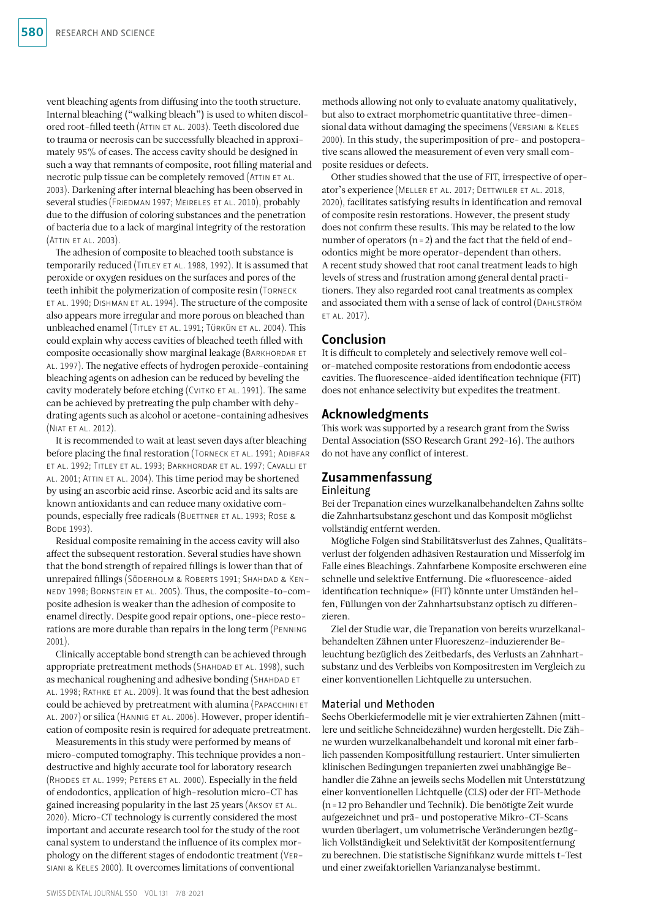vent bleaching agents from diffusing into the tooth structure. Internal bleaching ("walking bleach") is used to whiten discolored root-filled teeth (Attin et al. 2003). Teeth discolored due to trauma or necrosis can be successfully bleached in approximately 95% of cases. The access cavity should be designed in such a way that remnants of composite, root filling material and necrotic pulp tissue can be completely removed (ATTIN ET AL. 2003). Darkening after internal bleaching has been observed in several studies (FRIEDMAN 1997; MEIRELES ET AL. 2010), probably due to the diffusion of coloring substances and the penetration of bacteria due to a lack of marginal integrity of the restoration (Attin et al. 2003).

The adhesion of composite to bleached tooth substance is temporarily reduced (Titley et al. 1988, 1992). It is assumed that peroxide or oxygen residues on the surfaces and pores of the teeth inhibit the polymerization of composite resin (Torneck et al. 1990; Dishman et al. 1994). The structure of the composite also appears more irregular and more porous on bleached than unbleached enamel (Titley et al. 1991; Türkün et al. 2004). This could explain why access cavities of bleached teeth filled with composite occasionally show marginal leakage (BARKHORDAR ET al. 1997). The negative effects of hydrogen peroxide-containing bleaching agents on adhesion can be reduced by beveling the cavity moderately before etching (CVITKO ET AL. 1991). The same can be achieved by pretreating the pulp chamber with dehydrating agents such as alcohol or acetone-containing adhesives (Niat et al. 2012).

It is recommended to wait at least seven days after bleaching before placing the final restoration (TORNECK ET AL. 1991; ADIBFAR et al. 1992; Titley et al. 1993; Barkhordar et al. 1997; Cavalli et al. 2001; Attin et al. 2004). This time period may be shortened by using an ascorbic acid rinse. Ascorbic acid and its salts are known antioxidants and can reduce many oxidative compounds, especially free radicals (BUETTNER ET AL. 1993; ROSE & Bode 1993).

Residual composite remaining in the access cavity will also affect the subsequent restoration. Several studies have shown that the bond strength of repaired fillings is lower than that of unrepaired fillings (Söderholm & Roberts 1991; Shahdad & Kennedy 1998; Bornstein et al. 2005). Thus, the composite-to-composite adhesion is weaker than the adhesion of composite to enamel directly. Despite good repair options, one-piece restorations are more durable than repairs in the long term (Penning 2001).

Clinically acceptable bond strength can be achieved through appropriate pretreatment methods (SHAHDAD ET AL. 1998), such as mechanical roughening and adhesive bonding (SHAHDAD ET al. 1998; Rathke et al. 2009). It was found that the best adhesion could be achieved by pretreatment with alumina (Papacchini et al. 2007) or silica (Hannig et al. 2006). However, proper identification of composite resin is required for adequate pretreatment.

Measurements in this study were performed by means of micro-computed tomography. This technique provides a nondestructive and highly accurate tool for laboratory research (Rhodes et al. 1999; Peters et al. 2000). Especially in the field of endodontics, application of high-resolution micro-CT has gained increasing popularity in the last 25 years (AKSOY ET AL. 2020). Micro-CT technology is currently considered the most important and accurate research tool for the study of the root canal system to understand the influence of its complex morphology on the different stages of endodontic treatment (Versiani & Keles 2000). It overcomes limitations of conventional

Other studies showed that the use of FIT, irrespective of operator's experience (Meller et al. 2017; Dettwiler et al. 2018, 2020), facilitates satisfying results in identification and removal of composite resin restorations. However, the present study does not confirm these results. This may be related to the low number of operators  $(n=2)$  and the fact that the field of endodontics might be more operator-dependent than others. A recent study showed that root canal treatment leads to high levels of stress and frustration among general dental practitioners. They also regarded root canal treatments as complex and associated them with a sense of lack of control (Dahlström et al. 2017).

## Conclusion

It is difficult to completely and selectively remove well color-matched composite restorations from endodontic access cavities. The fluorescence-aided identification technique (FIT) does not enhance selectivity but expedites the treatment.

## Acknowledgments

This work was supported by a research grant from the Swiss Dental Association (SSO Research Grant 292-16). The authors do not have any conflict of interest.

## Zusammenfassung Einleitung

Bei der Trepanation eines wurzelkanalbehandelten Zahns sollte die Zahnhartsubstanz geschont und das Komposit möglichst vollständig entfernt werden.

Mögliche Folgen sind Stabilitätsverlust des Zahnes, Qualitätsverlust der folgenden adhäsiven Restauration und Misserfolg im Falle eines Bleachings. Zahnfarbene Komposite erschweren eine schnelle und selektive Entfernung. Die «fluorescence-aided identification technique» (FIT) könnte unter Umständen helfen, Füllungen von der Zahnhartsubstanz optisch zu differenzieren.

Ziel der Studie war, die Trepanation von bereits wurzelkanalbehandelten Zähnen unter Fluoreszenz-induzierender Beleuchtung bezüglich des Zeitbedarfs, des Verlusts an Zahnhartsubstanz und des Verbleibs von Kompositresten im Vergleich zu einer konventionellen Lichtquelle zu untersuchen.

## Material und Methoden

Sechs Oberkiefermodelle mit je vier extrahierten Zähnen (mittlere und seitliche Schneidezähne) wurden hergestellt. Die Zähne wurden wurzelkanalbehandelt und koronal mit einer farblich passenden Kompositfüllung restauriert. Unter simulierten klinischen Bedingungen trepanierten zwei unabhängige Behandler die Zähne an jeweils sechs Modellen mit Unterstützung einer konventionellen Lichtquelle (CLS) oder der FIT-Methode (n=12 pro Behandler und Technik). Die benötigte Zeit wurde aufgezeichnet und prä- und postoperative Mikro-CT-Scans wurden überlagert, um volumetrische Veränderungen bezüglich Vollständigkeit und Selektivität der Kompositentfernung zu berechnen. Die statistische Signifikanz wurde mittels t-Test und einer zweifaktoriellen Varianzanalyse bestimmt.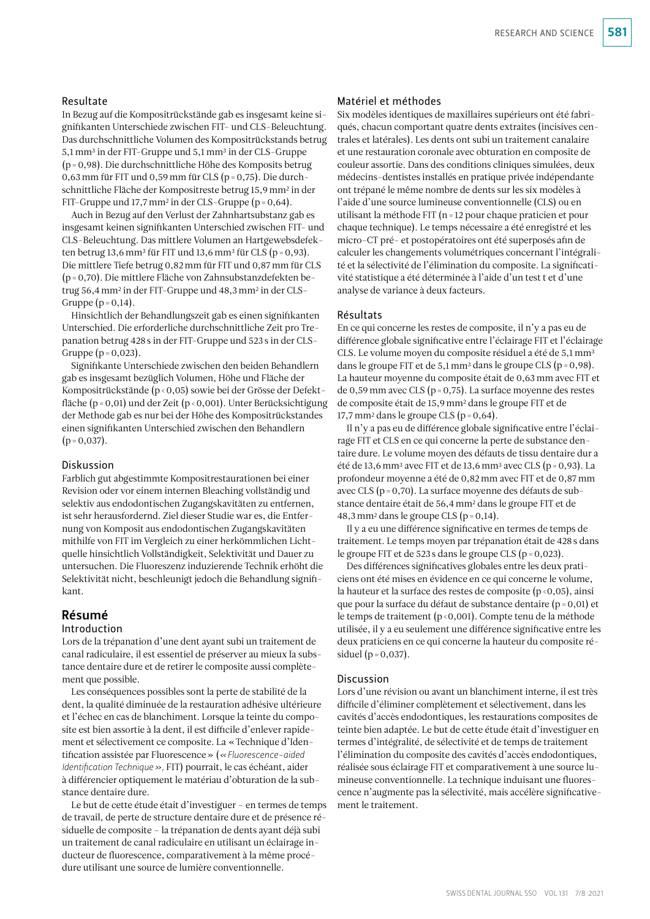## RESEARCH AND SCIENCE 581

#### Resultate

In Bezug auf die Kompositrückstände gab es insgesamt keine signifikanten Unterschiede zwischen FIT- und CLS-Beleuchtung. Das durchschnittliche Volumen des Kompositrückstands betrug 5,1mm3 in der FIT-Gruppe und 5,1mm3 in der CLS-Gruppe (p=0,98). Die durchschnittliche Höhe des Komposits betrug 0,63 mm für FIT und 0,59 mm für CLS ( $p = 0.75$ ). Die durchschnittliche Fläche der Kompositreste betrug 15,9mm2 in der FIT-Gruppe und 17,7mm2 in der CLS-Gruppe (p=0,64).

Auch in Bezug auf den Verlust der Zahnhartsubstanz gab es insgesamt keinen signifikanten Unterschied zwischen FIT- und CLS-Beleuchtung. Das mittlere Volumen an Hartgewebsdefekten betrug 13,6 mm<sup>3</sup> für FIT und 13,6 mm<sup>3</sup> für CLS (p = 0,93). Die mittlere Tiefe betrug 0,82mm für FIT und 0,87mm für CLS (p=0,70). Die mittlere Fläche von Zahnsubstanzdefekten betrug 56,4mm2 in der FIT-Gruppe und 48,3mm2 in der CLS--Gruppe  $(p=0,14)$ .

Hinsichtlich der Behandlungszeit gab es einen signifikanten Unterschied. Die erforderliche durchschnittliche Zeit pro Trepanation betrug 428 s in der FIT-Gruppe und 523 s in der CLS--Gruppe  $(p = 0, 023)$ .

Signifikante Unterschiede zwischen den beiden Behandlern gab es insgesamt bezüglich Volumen, Höhe und Fläche der Kompositrückstände (p<0,05) sowie bei der Grösse der Defektfläche (p = 0,01) und der Zeit (p < 0,001). Unter Berücksichtigung der Methode gab es nur bei der Höhe des Kompositrückstandes einen signifikanten Unterschied zwischen den Behandlern  $(p=0,037)$ .

#### Diskussion

Farblich gut abgestimmte Kompositrestaurationen bei einer Revision oder vor einem internen Bleaching vollständig und selektiv aus endodontischen Zugangskavitäten zu entfernen, ist sehr herausfordernd. Ziel dieser Studie war es, die Entfernung von Komposit aus endodontischen Zugangskavitäten mithilfe von FIT im Vergleich zu einer herkömmlichen Lichtquelle hinsichtlich Vollständigkeit, Selektivität und Dauer zu untersuchen. Die Fluoreszenz induzierende Technik erhöht die Selektivität nicht, beschleunigt jedoch die Behandlung signifikant.

## Résumé

## Introduction

Lors de la trépanation d'une dent ayant subi un traitement de canal radiculaire, il est essentiel de préserver au mieux la substance dentaire dure et de retirer le composite aussi complètement que possible.

Les conséquences possibles sont la perte de stabilité de la dent, la qualité diminuée de la restauration adhésive ultérieure et l'échec en cas de blanchiment. Lorsque la teinte du composite est bien assortie à la dent, il est difficile d'enlever rapidement et sélectivement ce composite. La «Technique d'Identification assistée par Fluorescence» (*«Fluorescence-aided Identification Technique»,* FIT) pourrait, le cas échéant, aider à différencier optiquement le matériau d'obturation de la substance dentaire dure.

Le but de cette étude était d'investiguer – en termes de temps de travail, de perte de structure dentaire dure et de présence résiduelle de composite – la trépanation de dents ayant déjà subi un traitement de canal radiculaire en utilisant un éclairage inducteur de fluorescence, comparativement à la même procédure utilisant une source de lumière conventionnelle.

### Matériel et méthodes

Six modèles identiques de maxillaires supérieurs ont été fabriqués, chacun comportant quatre dents extraites (incisives centrales et latérales). Les dents ont subi un traitement canalaire et une restauration coronale avec obturation en composite de couleur assortie. Dans des conditions cliniques simulées, deux médecins-dentistes installés en pratique privée indépendante ont trépané le même nombre de dents sur les six modèles à l'aide d'une source lumineuse conventionnelle (CLS) ou en utilisant la méthode FIT (n=12 pour chaque praticien et pour chaque technique). Le temps nécessaire a été enregistré et les micro-CT pré- et postopératoires ont été superposés afin de calculer les changements volumétriques concernant l'intégralité et la sélectivité de l'élimination du composite. La significativité statistique a été déterminée à l'aide d'un test t et d'une analyse de variance à deux facteurs.

#### Résultats

En ce qui concerne les restes de composite, il n'y a pas eu de différence globale significative entre l'éclairage FIT et l'éclairage CLS. Le volume moyen du composite résiduel a été de 5,1mm3 dans le groupe FIT et de 5,1 mm<sup>3</sup> dans le groupe CLS ( $p = 0.98$ ). La hauteur moyenne du composite était de 0,63mm avec FIT et de 0,59mm avec CLS (p=0,75). La surface moyenne des restes de composite était de 15,9mm2 dans le groupe FIT et de 17,7 mm<sup>2</sup> dans le groupe CLS ( $p = 0.64$ ).

Il n'y a pas eu de différence globale significative entre l'éclairage FIT et CLS en ce qui concerne la perte de substance dentaire dure. Le volume moyen des défauts de tissu dentaire dur a été de 13,6 mm<sup>3</sup> avec FIT et de 13,6 mm<sup>3</sup> avec CLS (p = 0,93). La profondeur moyenne a été de 0,82mm avec FIT et de 0,87mm avec CLS (p=0,70). La surface moyenne des défauts de substance dentaire était de 56,4mm2 dans le groupe FIT et de 48,3 mm<sup>2</sup> dans le groupe CLS ( $p = 0,14$ ).

Il y a eu une différence significative en termes de temps de traitement. Le temps moyen par trépanation était de 428 s dans le groupe FIT et de 523 s dans le groupe CLS (p=0,023).

Des différences significatives globales entre les deux praticiens ont été mises en évidence en ce qui concerne le volume, la hauteur et la surface des restes de composite  $(p<0,05)$ , ainsi que pour la surface du défaut de substance dentaire (p=0,01) et le temps de traitement (p<0,001). Compte tenu de la méthode utilisée, il y a eu seulement une différence significative entre les deux praticiens en ce qui concerne la hauteur du composite résiduel ( $p = 0,037$ ).

#### Discussion

Lors d'une révision ou avant un blanchiment interne, il est très difficile d'éliminer complètement et sélectivement, dans les cavités d'accès endodontiques, les restaurations composites de teinte bien adaptée. Le but de cette étude était d'investiguer en termes d'intégralité, de sélectivité et de temps de traitement l'élimination du composite des cavités d'accès endodontiques, réalisée sous éclairage FIT et comparativement à une source lumineuse conventionnelle. La technique induisant une fluorescence n'augmente pas la sélectivité, mais accélère significativement le traitement.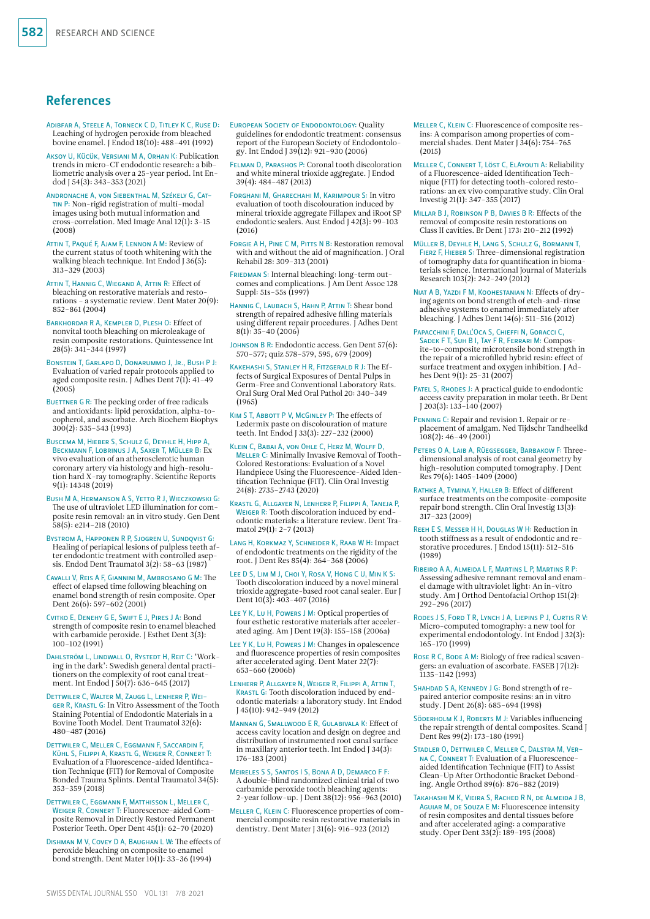## References

- Adibfar A, Steele A, Torneck C D, Titley K C, Ruse D: Leaching of hydrogen peroxide from bleached bovine enamel. J Endod 18(10): 488–491 (1992)
- Aksoy U, Kücük, Versiani M A, Orhan K: Publication trends in micro-CT endodontic research: a bibliometric analysis over a 25-year period. Int Endod J 54(3): 343–353 (2021)
- Andronache A, von Siebenthal M, Székely G, Cattin P: Non-rigid registration of multi-modal images using both mutual information and cross-correlation. Med Image Anal 12(1): 3–15 (2008)
- Attin T, Paqué F, Ajam F, Lennon A M: Review of the current status of tooth whitening with the walking bleach technique. Int Endod J 36(5): 313–329 (2003)
- Attin T, Hannig C, Wiegand A, Attin R: Effect of bleaching on restorative materials and restorations – a systematic review. Dent Mater 20(9): 852–861 (2004)
- Barkhordar R A, Kempler D, Plesh O: Effect of nonvital tooth bleaching on microleakage of resin composite restorations. Quintessence Int 28(5): 341–344 (1997)
- Bonstein T, Garlapo D, Donarummo J, Jr., Bush P J: Evaluation of varied repair protocols applied to aged composite resin. J Adhes Dent 7(1): 41-49  $(2005)$
- BUETTNER G R: The pecking order of free radicals and antioxidants: lipid peroxidation, alpha-tocopherol, and ascorbate. Arch Biochem Biophys 300(2): 535–543 (1993)
- BUSCEMA M, HIEBER S, SCHULZ G, DEYHLE H, HIPP A Beckmann F, Lobrinus J A, Saxer T, Müller B: Ex vivo evaluation of an atherosclerotic human coronary artery via histology and high-resolution hard X-ray tomography. Scientific Reports 9(1): 14348 (2019)
- Bush M A, Hermanson A S, Yetto R J, Wieczkowski G: The use of ultraviolet LED illumination for composite resin removal: an in vitro study. Gen Dent 58(5): e214–218 (2010)
- Bystrom A, Happonen R P, Sjogren U, Sundqvist G: Healing of periapical lesions of pulpless teeth after endodontic treatment with controlled asepsis. Endod Dent Traumatol 3(2): 58–63 (1987)
- Cavalli V, Reis A F, Giannini M, Ambrosano G M: The effect of elapsed time following bleaching on enamel bond strength of resin composite. Oper Dent 26(6): 597–602 (2001)
- Cvitko E, Denehy G E, Swift E J, Pires J A: Bond strength of composite resin to enamel bleached with carbamide peroxide. J Esthet Dent 3(3): 100–102 (1991)
- Dahlström L, Lindwall O, Rystedt H, Reit C: 'Working in the dark': Swedish general dental practitioners on the complexity of root canal treatment. Int Endod J 50(7): 636–645 (2017)
- Dettwiler C, Walter M, Zaugg L, Lenherr P, Weiger R, Krastl G: In Vitro Assessment of the Tooth Staining Potential of Endodontic Materials in a Bovine Tooth Model. Dent Traumatol 32(6): 480–487 (2016)
- Dettwiler C, Meller C, Eggmann F, Saccardin F, Kühl S, Filippi A, Krastl G, Weiger R, Connert T: Evaluation of a Fluorescence-aided Identification Technique (FIT) for Removal of Composite Bonded Trauma Splints. Dental Traumatol 34(5): 353–359 (2018)
- Dettwiler C, Eggmann F, Matthisson L, Meller C, Weiger R, Connert T: Fluorescence-aided Composite Removal in Directly Restored Permanent Posterior Teeth. Oper Dent 45(1): 62–70 (2020)
- Dishman M V, Covey D A, Baughan L W: The effects of peroxide bleaching on composite to enamel bond strength. Dent Mater 10(1): 33–36 (1994)
- European Society of Endodontology: Quality guidelines for endodontic treatment: consensus report of the European Society of Endodontology. Int Endod J 39(12): 921–930 (2006)
- Felman D, Parashos P: Coronal tooth discoloration and white mineral trioxide aggregate. J Endod 39(4): 484–487 (2013)
- Forghani M, Gharechahi M, Karimpour S: In vitro evaluation of tooth discolouration induced by mineral trioxide aggregate Fillapex and iRoot SP endodontic sealers. Aust Endod J 42(3): 99–103 (2016)
- FORGIE A H, PINE C M, PITTS N B: Restoration removal with and without the aid of magnification. J Oral Rehabil 28: 309–313 (2001)
- FRIEDMAN S: Internal bleaching: long-term outcomes and complications. J Am Dent Assoc 128 Suppl: 51s–55s (1997)

HANNIG C, LAUBACH S, HAHN P, ATTIN T: Shear bond strength of repaired adhesive filling materials using different repair procedures. J Adhes Dent 8(1): 35–40 (2006)

Johnson B R: Endodontic access. Gen Dent 57(6): 570–577; quiz 578–579, 595, 679 (2009)

- Kakehashi S, Stanley H R, Fitzgerald R J: The Effects of Surgical Exposures of Dental Pulps in Germ-Free and Conventional Laboratory Rats. Oral Surg Oral Med Oral Pathol 20: 340–349 (1965)
- KIM S T, ABBOTT P V, McGINLEY P: The effects of Ledermix paste on discolouration of mature teeth. Int Endod J 33(3): 227–232 (2000)
- Klein C, Babai A, von Ohle C, Herz M, Wolff D, MELLER C: Minimally Invasive Removal of Tooth-Colored Restorations: Evaluation of a Novel Handpiece Using the Fluorescence-Aided Identification Technique (FIT). Clin Oral Investig 24(8): 2735–2743 (2020)
- Krastl G, Allgayer N, Lenherr P, Filippi A, Taneja P, WEIGER R: Tooth discoloration induced by endodontic materials: a literature review. Dent Tramatol 29(1): 2–7 (2013)
- Lang H, Korkmaz Y, Schneider K, Raab W H: Impact of endodontic treatments on the rigidity of the root. J Dent Res 85(4): 364–368 (2006)
- Lee D S, Lim M J, Choi Y, Rosa V, Hong C U, Min K S: Tooth discoloration induced by a novel mineral trioxide aggregate-based root canal sealer. Eur J Dent 10(3): 403-407 (2016)
- Lee Y K, Lu H, Powers J M: Optical properties of four esthetic restorative materials after accelerated aging. Am J Dent 19(3): 155–158 (2006a)

Lee Y K, Lu H, Powers J M: Changes in opalescence and fluorescence properties of resin composites after accelerated aging. Dent Mater 22(7): 653–660 (2006b)

- Lenherr P, Allgayer N, Weiger R, Filippi A, Attin T, KRASTL G: Tooth discoloration induced by endodontic materials: a laboratory study. Int Endod J 45(10): 942–949 (2012)
- Mannan G, Smallwood E R, Gulabivala K: Effect of access cavity location and design on degree and distribution of instrumented root canal surface in maxillary anterior teeth. Int Endod J 34(3): 176–183 (2001)
- Meireles S S, Santos I S, Bona A D, Demarco F F: A double-blind randomized clinical trial of two carbamide peroxide tooth bleaching agents: 2-year follow-up. J Dent 38(12): 956–963 (2010)
- Meller C, Klein C: Fluorescence properties of commercial composite resin restorative materials in dentistry. Dent Mater J 31(6): 916–923 (2012)
- Meller C, Klein C: Fluorescence of composite resins: A comparison among properties of commercial shades. Dent Mater J 34(6): 754–765 (2015)
- Meller C, Connert T, Löst C, ElAyouti A: Reliability of a Fluorescence-aided Identification Technique (FIT) for detecting tooth-colored restorations: an ex vivo comparative study. Clin Oral Investig 21(1): 347–355 (2017)
- Millar B J, Robinson P B, Davies B R: Effects of the removal of composite resin restorations on Class II cavities. Br Dent J 173: 210–212 (1992)
- Müller B, Deyhle H, Lang S, Schulz G, Bormann T, Fierz F, Hieber S: Three-dimensional registration of tomography data for quantification in biomaterials science. International Journal of Materials Research 103(2): 242–249 (2012)
- Niat A B, Yazdi F M, Koohestanian N: Effects of drying agents on bond strength of etch-and-rinse adhesive systems to enamel immediately after bleaching. J Adhes Dent 14(6): 511–516 (2012)
- Papacchini F, Dall'Oca S, Chieffi N, Goracci C, Sadek F T, Suh B I, Tay F R, Ferrari M: Composite-to-composite microtensile bond strength in the repair of a microfilled hybrid resin: effect of surface treatment and oxygen inhibition. J Adhes Dent 9(1): 25–31 (2007)
- PATEL S, RHODES J: A practical guide to endodontic access cavity preparation in molar teeth. Br Dent J 203(3): 133–140 (2007)
- Penning C: Repair and revision 1. Repair or replacement of amalgam. Ned Tijdschr Tandheelkd  $108(2): 46 - 49(2001)$
- PETERS O A, LAIB A, RÜEGSEGGER, BARBAKOW F: Threedimensional analysis of root canal geometry by high-resolution computed tomography. J Dent Res 79(6): 1405–1409 (2000)
- Rathke A, Tymina Y, Haller B: Effect of different surface treatments on the composite-composite repair bond strength. Clin Oral Investig 13(3): 317–323 (2009)
- Reeh E S, Messer H H, Douglas W H: Reduction in tooth stiffness as a result of endodontic and restorative procedures. J Endod 15(11): 512–516 (1989)
- Ribeiro A A, Almeida L F, Martins L P, Martins R P: Assessing adhesive remnant removal and enamel damage with ultraviolet light: An in-vitro study. Am J Orthod Dentofacial Orthop 151(2): 292–296 (2017)
- RODES J S, FORD T R, LYNCH J A, LIEPINS P J, CURTIS R V: Micro-computed tomography: a new tool for experimental endodontology. Int Endod J 32(3): 165–170 (1999)
- ROSE R C, BODE A M: Biology of free radical scavengers: an evaluation of ascorbate. FASEB J 7(12): 1135–1142 (1993)
- SHAHDAD S A, KENNEDY J G: Bond strength of repaired anterior composite resins: an in vitro study. J Dent 26(8): 685–694 (1998)
- SÖDERHOLM K J, ROBERTS M J: Variables influencing the repair strength of dental composites. Scand J Dent Res 99(2): 173-180 (1991)
- Stadler O, Dettwiler C, Meller C, Dalstra M, Ver-NA C, CONNERT T: Evaluation of a Fluorescenceaided Identification Technique (FIT) to Assist Clean-Up After Orthodontic Bracket Debonding. Angle Orthod 89(6): 876–882 (2019)
- Takahashi M K, Vieira S, Rached R N, de Almeida J B, Aguiar M, de Souza E M: Fluorescence intensity of resin composites and dental tissues before and after accelerated aging: a comparative study. Oper Dent 33(2): 189–195 (2008)